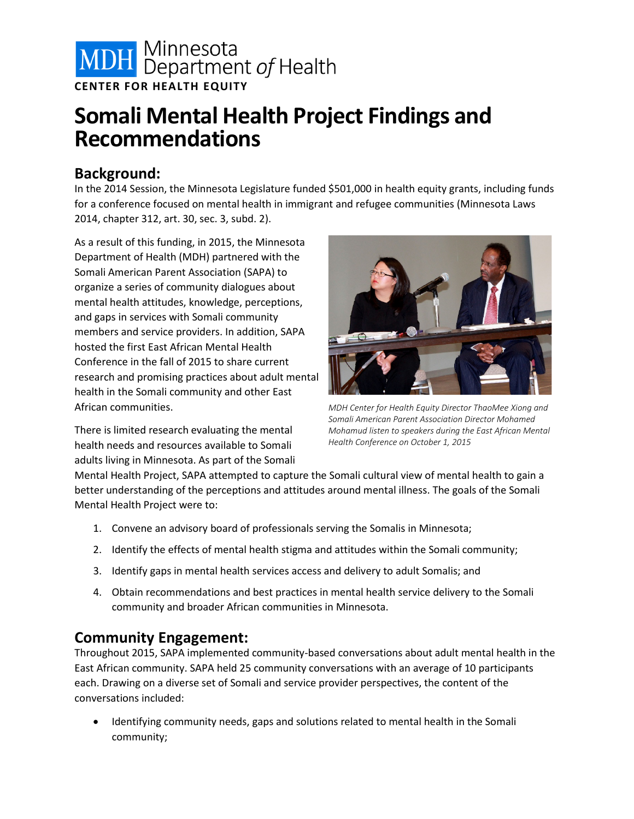

# **Somali Mental Health Project Findings and Recommendations**

#### **Background:**

In the 2014 Session, the Minnesota Legislature funded \$501,000 in health equity grants, including funds for a conference focused on mental health in immigrant and refugee communities (Minnesota Laws 2014, chapter 312, art. 30, sec. 3, subd. 2).

As a result of this funding, in 2015, the Minnesota Department of Health (MDH) partnered with the Somali American Parent Association (SAPA) to organize a series of community dialogues about mental health attitudes, knowledge, perceptions, and gaps in services with Somali community members and service providers. In addition, SAPA hosted the first East African Mental Health Conference in the fall of 2015 to share current research and promising practices about adult mental health in the Somali community and other East African communities.

There is limited research evaluating the mental health needs and resources available to Somali adults living in Minnesota. As part of the Somali



*MDH Center for Health Equity Director ThaoMee Xiong and Somali American Parent Association Director Mohamed Mohamud listen to speakers during the East African Mental Health Conference on October 1, 2015*

Mental Health Project, SAPA attempted to capture the Somali cultural view of mental health to gain a better understanding of the perceptions and attitudes around mental illness. The goals of the Somali Mental Health Project were to:

- 1. Convene an advisory board of professionals serving the Somalis in Minnesota;
- 2. Identify the effects of mental health stigma and attitudes within the Somali community;
- 3. Identify gaps in mental health services access and delivery to adult Somalis; and
- 4. Obtain recommendations and best practices in mental health service delivery to the Somali community and broader African communities in Minnesota.

### **Community Engagement:**

Throughout 2015, SAPA implemented community-based conversations about adult mental health in the East African community. SAPA held 25 community conversations with an average of 10 participants each. Drawing on a diverse set of Somali and service provider perspectives, the content of the conversations included:

• Identifying community needs, gaps and solutions related to mental health in the Somali community;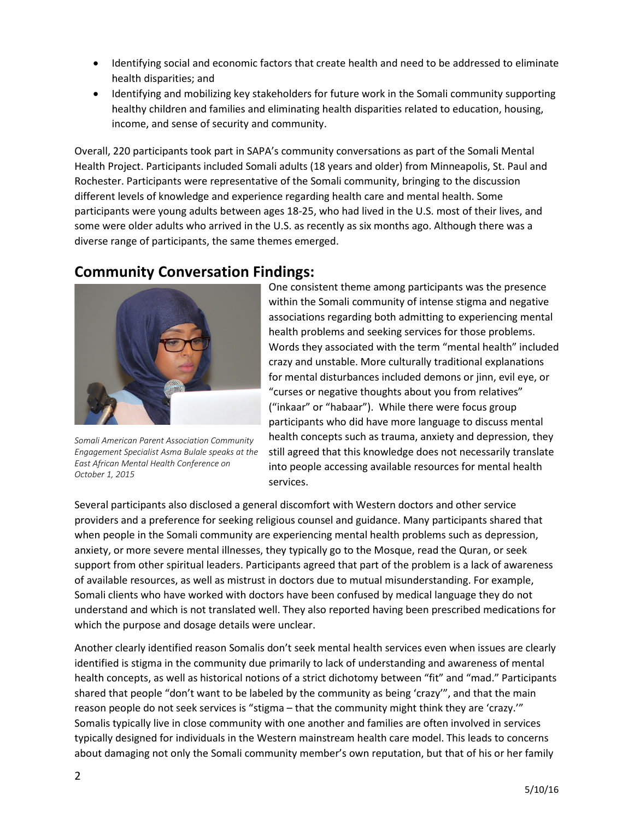- Identifying social and economic factors that create health and need to be addressed to eliminate health disparities; and
- Identifying and mobilizing key stakeholders for future work in the Somali community supporting healthy children and families and eliminating health disparities related to education, housing, income, and sense of security and community.

Overall, 220 participants took part in SAPA's community conversations as part of the Somali Mental Health Project. Participants included Somali adults (18 years and older) from Minneapolis, St. Paul and Rochester. Participants were representative of the Somali community, bringing to the discussion different levels of knowledge and experience regarding health care and mental health. Some participants were young adults between ages 18-25, who had lived in the U.S. most of their lives, and some were older adults who arrived in the U.S. as recently as six months ago. Although there was a diverse range of participants, the same themes emerged.

#### **Community Conversation Findings:**



*Somali American Parent Association Community Engagement Specialist Asma Bulale speaks at the East African Mental Health Conference on October 1, 2015*

One consistent theme among participants was the presence within the Somali community of intense stigma and negative associations regarding both admitting to experiencing mental health problems and seeking services for those problems. Words they associated with the term "mental health" included crazy and unstable. More culturally traditional explanations for mental disturbances included demons or jinn, evil eye, or "curses or negative thoughts about you from relatives" ("inkaar" or "habaar"). While there were focus group participants who did have more language to discuss mental health concepts such as trauma, anxiety and depression, they still agreed that this knowledge does not necessarily translate into people accessing available resources for mental health services.

Several participants also disclosed a general discomfort with Western doctors and other service providers and a preference for seeking religious counsel and guidance. Many participants shared that when people in the Somali community are experiencing mental health problems such as depression, anxiety, or more severe mental illnesses, they typically go to the Mosque, read the Quran, or seek support from other spiritual leaders. Participants agreed that part of the problem is a lack of awareness of available resources, as well as mistrust in doctors due to mutual misunderstanding. For example, Somali clients who have worked with doctors have been confused by medical language they do not understand and which is not translated well. They also reported having been prescribed medications for which the purpose and dosage details were unclear.

Another clearly identified reason Somalis don't seek mental health services even when issues are clearly identified is stigma in the community due primarily to lack of understanding and awareness of mental health concepts, as well as historical notions of a strict dichotomy between "fit" and "mad." Participants shared that people "don't want to be labeled by the community as being 'crazy'", and that the main reason people do not seek services is "stigma – that the community might think they are 'crazy.'" Somalis typically live in close community with one another and families are often involved in services typically designed for individuals in the Western mainstream health care model. This leads to concerns about damaging not only the Somali community member's own reputation, but that of his or her family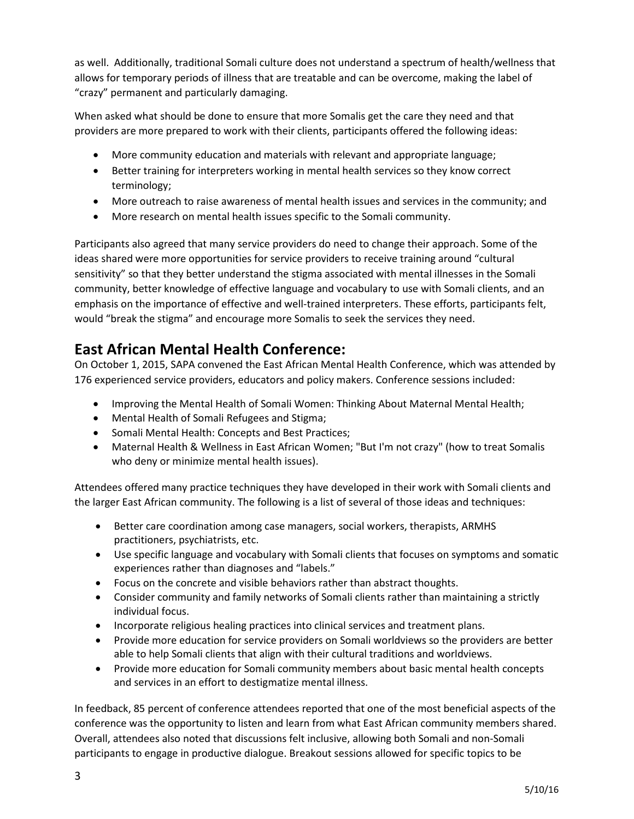as well. Additionally, traditional Somali culture does not understand a spectrum of health/wellness that allows for temporary periods of illness that are treatable and can be overcome, making the label of "crazy" permanent and particularly damaging.

When asked what should be done to ensure that more Somalis get the care they need and that providers are more prepared to work with their clients, participants offered the following ideas:

- More community education and materials with relevant and appropriate language;
- Better training for interpreters working in mental health services so they know correct terminology;
- More outreach to raise awareness of mental health issues and services in the community; and
- More research on mental health issues specific to the Somali community.

Participants also agreed that many service providers do need to change their approach. Some of the ideas shared were more opportunities for service providers to receive training around "cultural sensitivity" so that they better understand the stigma associated with mental illnesses in the Somali community, better knowledge of effective language and vocabulary to use with Somali clients, and an emphasis on the importance of effective and well-trained interpreters. These efforts, participants felt, would "break the stigma" and encourage more Somalis to seek the services they need.

### **East African Mental Health Conference:**

On October 1, 2015, SAPA convened the East African Mental Health Conference, which was attended by 176 experienced service providers, educators and policy makers. Conference sessions included:

- Improving the Mental Health of Somali Women: Thinking About Maternal Mental Health;
- Mental Health of Somali Refugees and Stigma;
- Somali Mental Health: Concepts and Best Practices;
- Maternal Health & Wellness in East African Women; "But I'm not crazy" (how to treat Somalis who deny or minimize mental health issues).

Attendees offered many practice techniques they have developed in their work with Somali clients and the larger East African community. The following is a list of several of those ideas and techniques:

- Better care coordination among case managers, social workers, therapists, ARMHS practitioners, psychiatrists, etc.
- Use specific language and vocabulary with Somali clients that focuses on symptoms and somatic experiences rather than diagnoses and "labels."
- Focus on the concrete and visible behaviors rather than abstract thoughts.
- Consider community and family networks of Somali clients rather than maintaining a strictly individual focus.
- Incorporate religious healing practices into clinical services and treatment plans.
- Provide more education for service providers on Somali worldviews so the providers are better able to help Somali clients that align with their cultural traditions and worldviews.
- Provide more education for Somali community members about basic mental health concepts and services in an effort to destigmatize mental illness.

In feedback, 85 percent of conference attendees reported that one of the most beneficial aspects of the conference was the opportunity to listen and learn from what East African community members shared. Overall, attendees also noted that discussions felt inclusive, allowing both Somali and non-Somali participants to engage in productive dialogue. Breakout sessions allowed for specific topics to be